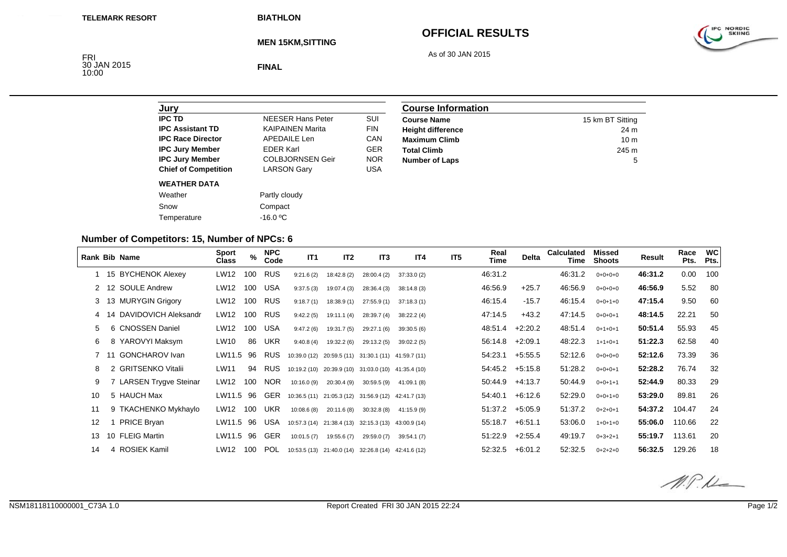**BIATHLON**

# **OFFICIAL RESULTS**

As of 30 JAN 2015



**MEN 15KM,SITTING**

FRI<br>30 JAN 2015<br>10:00

**FINAL**

| Jury                        |                            |            |
|-----------------------------|----------------------------|------------|
| <b>IPC TD</b>               | <b>NFFSER Hans Peter</b>   | SUI        |
| <b>IPC Assistant TD</b>     | <b>KAIPAINEN Marita</b>    | <b>FIN</b> |
| <b>IPC Race Director</b>    | <b>APEDAILE Len</b>        | CAN        |
| <b>IPC Jury Member</b>      | <b>EDER Karl</b>           | GFR        |
| <b>IPC Jury Member</b>      | <b>COLBJORNSEN Geir</b>    | <b>NOR</b> |
| <b>Chief of Competition</b> | <b>LARSON Gary</b>         | USA        |
| <b>WEATHER DATA</b>         |                            |            |
| Weather                     | Partly cloudy              |            |
| Snow                        | Compact                    |            |
| Temperature                 | -16.0 $\mathrm{^{\circ}C}$ |            |

| <b>Course Information</b> |                  |  |  |  |
|---------------------------|------------------|--|--|--|
| <b>Course Name</b>        | 15 km BT Sitting |  |  |  |
| <b>Height difference</b>  | 24 m             |  |  |  |
| <b>Maximum Climb</b>      | 10 <sub>m</sub>  |  |  |  |
| <b>Total Climb</b>        | 245 m            |  |  |  |
| <b>Number of Laps</b>     | 5                |  |  |  |

### **Number of Competitors: 15, Number of NPCs: 6**

| <b>Rank Bib Name</b> |     |                         | Sport<br>Class | $\%$ | <b>NPC</b><br>Code | IT1         | IT <sub>2</sub>                                     | IT <sub>3</sub> | IT <sub>4</sub> | IT <sub>5</sub> | Real<br>Time | <b>Delta</b>      | <b>Calculated</b><br>Time | Missed<br><b>Shoots</b> | Result  | Race<br>Pts. | <b>WC</b><br>Pts. |
|----------------------|-----|-------------------------|----------------|------|--------------------|-------------|-----------------------------------------------------|-----------------|-----------------|-----------------|--------------|-------------------|---------------------------|-------------------------|---------|--------------|-------------------|
|                      |     | 15 BYCHENOK Alexey      | LW12           | 100  | <b>RUS</b>         | 9:21.6(2)   | 18:42.8 (2)                                         | 28:00.4(2)      | 37:33.0 (2)     |                 | 46:31.2      |                   | 46:31.2                   | $0+0+0+0$               | 46:31.2 | 0.00         | 100               |
| $\mathbf{2}$         |     | 12 SOULE Andrew         | LW12           | 100  | <b>USA</b>         | 9:37.5(3)   | 19:07.4 (3)                                         | 28:36.4 (3)     | 38:14.8 (3)     |                 | 46:56.9      | $+25.7$           | 46:56.9                   | $0+0+0+0$               | 46:56.9 | 5.52         | 80                |
| 3                    |     | 13 MURYGIN Grigory      | LW12           | 100  | <b>RUS</b>         | 9:18.7(1)   | 18:38.9 (1)                                         | 27:55.9(1)      | 37:18.3(1)      |                 | 46:15.4      | $-15.7$           | 46:15.4                   | $0+0+1+0$               | 47:15.4 | 9.50         | 60                |
|                      | -14 | DAVIDOVICH Aleksandr    | LW12           | 100  | <b>RUS</b>         | 9:42.2(5)   | 19:11.1 (4)                                         | 28:39.7 (4)     | 38:22.2 (4)     |                 | 47:14.5      | $+43.2$           | 47:14.5                   | $0+0+0+1$               | 48:14.5 | 22.21        | 50                |
| 5                    |     | 6 CNOSSEN Daniel        | LW12           | 100  | USA                | 9:47.2(6)   | 19:31.7 (5)                                         | 29:27.1 (6)     | 39:30.5 (6)     |                 | 48:51.4      | $+2:20.2$         | 48:51.4                   | $0+1+0+1$               | 50:51.4 | 55.93        | 45                |
| 6                    |     | 8 YAROVYI Maksym        | LW10           | 86   | UKR                | 9:40.8(4)   | 19:32.2 (6)                                         | 29:13.2(5)      | 39:02.2(5)      |                 | 56:14.8      | $+2:09.1$         | 48:22.3                   | $1+1+0+1$               | 51:22.3 | 62.58        | 40                |
|                      |     | 11 GONCHAROV Ivan       | LW11.5         | 96   | <b>RUS</b>         |             | 10:39.0 (12) 20:59.5 (11) 31:30.1 (11) 41:59.7 (11) |                 |                 |                 | 54:23.1      | $+5:55.5$         | 52:12.6                   | $0+0+0+0$               | 52:12.6 | 73.39        | 36                |
| 8                    |     | 2 GRITSENKO Vitalii     | LW11           | 94   | <b>RUS</b>         |             | 10:19.2 (10) 20:39.9 (10) 31:03.0 (10) 41:35.4 (10) |                 |                 |                 | 54:45.2      | $+5:15.8$         | 51:28.2                   | $0+0+0+1$               | 52:28.2 | 76.74        | 32                |
| 9                    |     | 7 LARSEN Trygve Steinar | LW12           | 100  | <b>NOR</b>         | 10:16.0 (9) | 20:30.4 (9)                                         | 30:59.5(9)      | 41:09.1 (8)     |                 | 50:44.9      | $+4:13.7$         | 50:44.9                   | $0+0+1+1$               | 52:44.9 | 80.33        | 29                |
| 10                   |     | 5 HAUCH Max             | LW11.5 96      |      | <b>GER</b>         |             | 10:36.5 (11) 21:05.3 (12) 31:56.9 (12) 42:41.7 (13) |                 |                 |                 | 54:40.1      | $+6:12.6$         | 52:29.0                   | $0+0+1+0$               | 53:29.0 | 89.81        | 26                |
| 11                   |     | 9 TKACHENKO Mykhaylo    | LW12           | 100  | <b>UKR</b>         | 10:08.6(8)  | 20:11.6(8)                                          | 30:32.8(8)      | 41:15.9 (9)     |                 | 51:37.2      | $+5:05.9$         | 51:37.2                   | $0+2+0+1$               | 54:37.2 | 104.47       | 24                |
| $12 \overline{ }$    |     | <b>PRICE Bryan</b>      | LW11.5 96      |      | <b>USA</b>         |             | 10:57.3 (14) 21:38.4 (13) 32:15.3 (13) 43:00.9 (14) |                 |                 |                 | 55:18.7      | $+6.51.1$         | 53:06.0                   | $1+0+1+0$               | 55:06.0 | 110.66       | 22                |
| 13                   |     | 10 FLEIG Martin         | LW11.5 96      |      | <b>GER</b>         | 10:01.5(7)  | 19:55.6 (7)                                         | 29:59.0 (7)     | 39:54.1 (7)     |                 | 51:22.9      | $+2:55.4$         | 49:19.7                   | $0+3+2+1$               | 55:19.7 | 113.61       | 20                |
| 14                   |     | 4 ROSIEK Kamil          | LW12           | 100  | POL                |             | 10:53.5 (13) 21:40.0 (14) 32:26.8 (14) 42:41.6 (12) |                 |                 |                 |              | $52:32.5$ +6:01.2 | 52:32.5                   | $0+2+2+0$               | 56:32.5 | 129.26       | 18                |

 $M.P.L$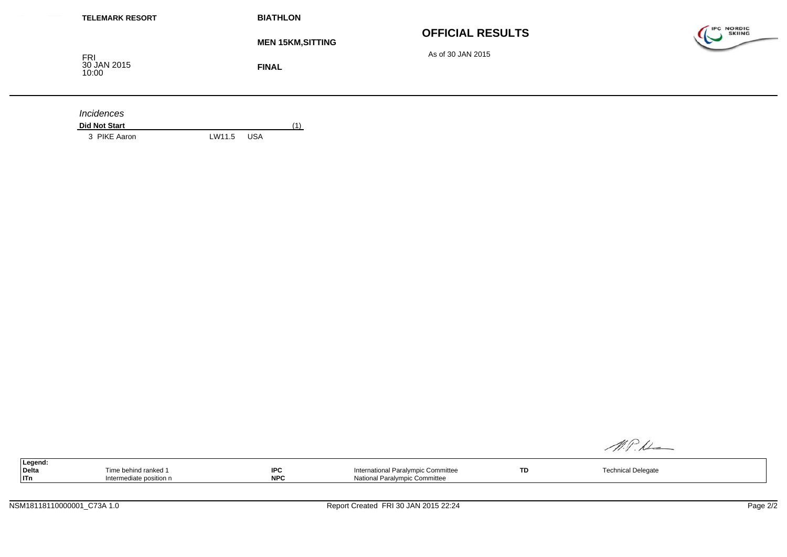| <b>BIATHLON</b>                          |                                              |                                    |
|------------------------------------------|----------------------------------------------|------------------------------------|
| <b>MEN 15KM, SITTING</b><br><b>FINAL</b> | <b>OFFICIAL RESULTS</b><br>As of 30 JAN 2015 | <b>IPC NORDIC</b><br><b>SKIING</b> |
| (1)                                      |                                              |                                    |
|                                          |                                              | <b>USA</b><br>LW11.5               |

| Legend: |                                  |                   |                                    |     |                |  |
|---------|----------------------------------|-------------------|------------------------------------|-----|----------------|--|
| Delta   | rime behind ranked 1             | <b>SDC</b><br>ี ษ | International Paralympic Committee | TD. | nical Delegate |  |
| ITn     | nediate position n<br>пісшісчіаг | NP <sub>C</sub>   | ' Paralympic Committee<br>National |     |                |  |

 $M.P.L$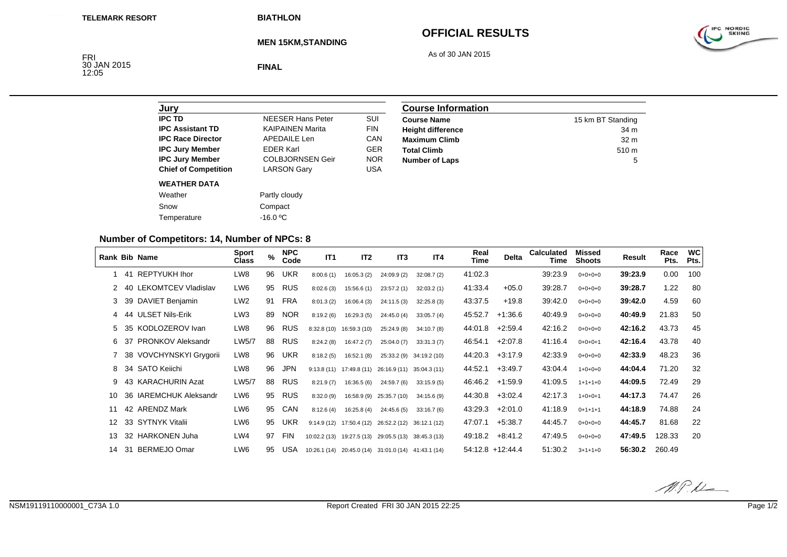**BIATHLON**

### **OFFICIAL RESULTS**

As of 30 JAN 2015



**MEN 15KM,STANDING**

FRI<br>30 JAN 2015<br>12:05

**FINAL**

| Jury                        |                          |            |
|-----------------------------|--------------------------|------------|
| <b>IPC TD</b>               | <b>NFFSFR Hans Peter</b> | SUI        |
| <b>IPC Assistant TD</b>     | <b>KAIPAINEN Marita</b>  | <b>FIN</b> |
| <b>IPC Race Director</b>    | APFDAIL F Len            | CAN        |
| <b>IPC Jury Member</b>      | <b>FDFR Karl</b>         | <b>GER</b> |
| <b>IPC Jury Member</b>      | <b>COLBJORNSEN Geir</b>  | <b>NOR</b> |
| <b>Chief of Competition</b> | <b>LARSON Gary</b>       | USA        |
| <b>WEATHER DATA</b>         |                          |            |
| Weather                     | Partly cloudy            |            |
| Snow                        | Compact                  |            |
| Temperature                 | $-16.0$ °C               |            |

| <b>Course Information</b> |                   |  |  |  |
|---------------------------|-------------------|--|--|--|
| <b>Course Name</b>        | 15 km BT Standing |  |  |  |
| <b>Height difference</b>  | 34 m              |  |  |  |
| <b>Maximum Climb</b>      | 32 <sub>m</sub>   |  |  |  |
| <b>Total Climb</b>        | 510 <sub>m</sub>  |  |  |  |
| <b>Number of Laps</b>     | 5                 |  |  |  |

### **Number of Competitors: 14, Number of NPCs: 8**

|                   |     | <b>Rank Bib Name</b>       | <b>Sport</b><br>Class | $\%$ | <b>NPC</b><br>Code | IT <sub>1</sub> | IT <sub>2</sub>           | IT <sub>3</sub>                                     | IT4                      | Real<br>Time | <b>Delta</b>       | <b>Calculated</b><br>Time | Missed<br><b>Shoots</b> | Result  | Race<br>Pts. | <b>WC</b><br>Pts. |
|-------------------|-----|----------------------------|-----------------------|------|--------------------|-----------------|---------------------------|-----------------------------------------------------|--------------------------|--------------|--------------------|---------------------------|-------------------------|---------|--------------|-------------------|
|                   | 41  | REPTYUKH Ihor              | LW8                   | 96   | UKR                | 8:00.6(1)       | 16:05.3(2)                | 24:09.9(2)                                          | 32:08.7(2)               | 41:02.3      |                    | 39:23.9                   | $0+0+0+0$               | 39:23.9 | 0.00         | 100               |
|                   | -40 | <b>LEKOMTCEV Vladislav</b> | LW6                   | 95   | <b>RUS</b>         | 8:02.6(3)       | 15:56.6(1)                | 23:57.2(1)                                          | 32:03.2(1)               | 41:33.4      | $+05.0$            | 39:28.7                   | $0+0+0+0$               | 39:28.7 | 1.22         | -80               |
| 3                 | -39 | DAVIET Benjamin            | LW <sub>2</sub>       | 91   | FRA                | 8:01.3(2)       | 16:06.4(3)                | 24:11.5(3)                                          | 32:25.8(3)               | 43:37.5      | $+19.8$            | 39:42.0                   | $0+0+0+0$               | 39:42.0 | 4.59         | 60                |
| 4                 | 44  | <b>ULSET Nils-Erik</b>     | LW3                   | 89   | <b>NOR</b>         | 8:19.2(6)       | 16:29.3(5)                | 24:45.0(4)                                          | 33:05.7(4)               | 45:52.7      | $+1:36.6$          | 40:49.9                   | $0+0+0+0$               | 40:49.9 | 21.83        | 50                |
|                   |     | 5 35 KODLOZEROV Ivan       | LW8                   | 96   | <b>RUS</b>         | 8:32.8(10)      | 16:59.3 (10)              | 25:24.9(8)                                          | 34:10.7(8)               | 44:01.8      | $+2.59.4$          | 42:16.2                   | $0+0+0+0$               | 42:16.2 | 43.73        | 45                |
| 6                 | -37 | <b>PRONKOV Aleksandr</b>   | LW5/7                 | 88   | <b>RUS</b>         | 8:24.2(8)       | 16:47.2(7)                | 25:04.0(7)                                          | 33:31.3(7)               | 46:54.1      | $+2.07.8$          | 41:16.4                   | $0+0+0+1$               | 42:16.4 | 43.78        | 40                |
|                   | 38  | VOVCHYNSKYI Grygorii       | LW8                   | 96   | <b>UKR</b>         | 8:18.2(5)       | 16:52.1(8)                |                                                     | 25:33.2 (9) 34:19.2 (10) | 44:20.3      | $+3:17.9$          | 42:33.9                   | $0+0+0+0$               | 42:33.9 | 48.23        | 36                |
| 8                 | -34 | SATO Keiichi               | LW8                   | 96   | <b>JPN</b>         |                 | $9:13.8(11)$ 17:49.8 (11) | 26:16.9 (11) 35:04.3 (11)                           |                          | 44:52.1      | $+3:49.7$          | 43:04.4                   | $1+0+0+0$               | 44:04.4 | 71.20        | 32                |
| 9                 |     | 43 KARACHURIN Azat         | LW5/7                 | 88   | RUS                | 8:21.9(7)       | 16:36.5(6)                | 24:59.7 (6)                                         | 33:15.9(5)               | 46:46.2      | $+1.59.9$          | 41:09.5                   | $1+1+1+0$               | 44:09.5 | 72.49        | 29                |
| 10                |     | 36 IAREMCHUK Aleksandr     | LW6                   | 95   | <b>RUS</b>         | 8:32.0(9)       |                           | 16:58.9 (9) 25:35.7 (10)                            | 34:15.6(9)               | 44:30.8      | $+3:02.4$          | 42:17.3                   | $1+0+0+1$               | 44:17.3 | 74.47        | 26                |
| 11                | 42  | <b>ARENDZ Mark</b>         | LW6                   | 95   | CAN                | 8:12.6(4)       | 16:25.8(4)                | 24:45.6(5)                                          | 33:16.7(6)               | 43:29.3      | $+2:01.0$          | 41:18.9                   | $0+1+1+1$               | 44:18.9 | 74.88        | 24                |
| $12 \overline{ }$ |     | 33 SYTNYK Vitalii          | LW6                   | 95   | UKR                |                 |                           | 9:14.9 (12) 17:50.4 (12) 26:52.2 (12) 36:12.1 (12)  |                          | 47:07.1      | $+5:38.7$          | 44:45.7                   | $0+0+0+0$               | 44:45.7 | 81.68        | 22                |
| 13                | 32  | <b>HARKONEN Juha</b>       | LW4                   | 97   | FIN                |                 | 10:02.2 (13) 19:27.5 (13) | 29:05.5 (13) 38:45.3 (13)                           |                          | 49:18.2      | $+8.41.2$          | 47:49.5                   | $0+0+0+0$               | 47:49.5 | 128.33       | 20                |
| 14                | -31 | <b>BERMEJO Omar</b>        | LW6                   | 95   | USA                |                 |                           | 10:26.1 (14) 20:45.0 (14) 31:01.0 (14) 41:43.1 (14) |                          |              | $54:12.8$ +12:44.4 | 51:30.2                   | $3 + 1 + 1 + 0$         | 56:30.2 | 260.49       |                   |

 $M.P.L$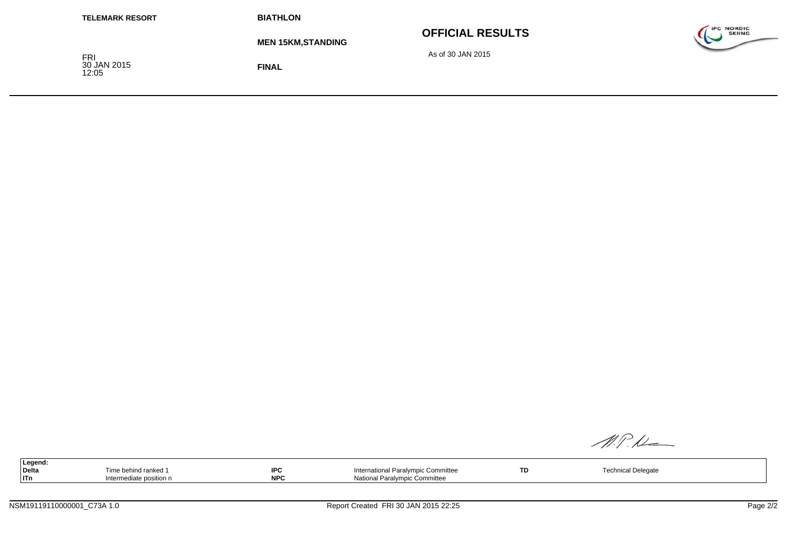| <b>TELEMARK RESORT</b>             | <b>BIATHLON</b>          |                         |                                              |
|------------------------------------|--------------------------|-------------------------|----------------------------------------------|
|                                    | <b>MEN 15KM,STANDING</b> | <b>OFFICIAL RESULTS</b> | <b>IPC NORDIC</b><br><b>SKIING</b><br>$\sim$ |
| <b>FRI</b><br>30 JAN 2015<br>12:05 | <b>FINAL</b>             | As of 30 JAN 2015       |                                              |

M.P.M

|       | Legend: |                          |                 |                                                                      |           |                                 |
|-------|---------|--------------------------|-----------------|----------------------------------------------------------------------|-----------|---------------------------------|
| Delta |         | behind ranke             | IDC<br>гч       | …u Dor i<br>nternatior<br>יימי<br>Committee<br><b>CILV</b><br>люн ав | <b>TD</b> | احصماما<br>noh.<br>cai Deiedale |
| ∣lTn  |         | $interr_{1}$<br>position | <b>NDC</b><br>. | ∩mmittee<br>National Paralympic                                      |           |                                 |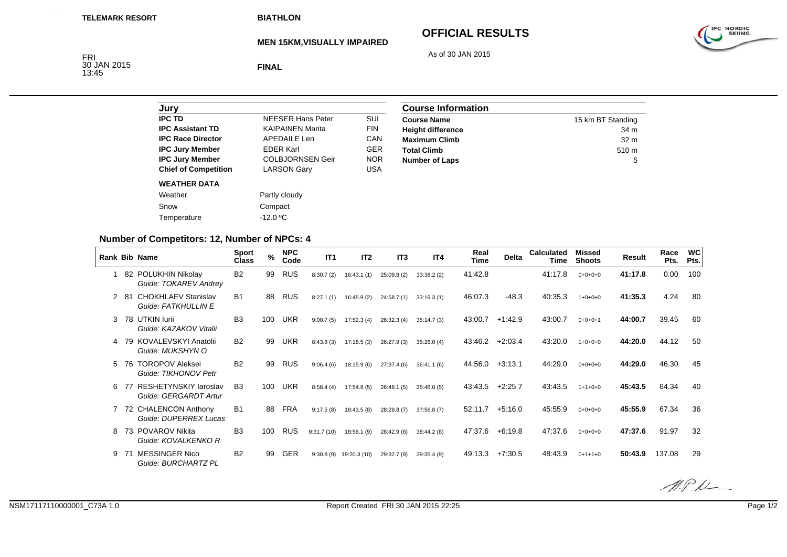# **OFFICIAL RESULTS**



**MEN 15KM,VISUALLY IMPAIRED**

As of 30 JAN 2015

FRI<br>30 JAN 2015<br>13:45

**FINAL**

| <b>NFFSER Hans Peter</b> | SUI        |
|--------------------------|------------|
| <b>KAIPAINEN Marita</b>  | <b>FIN</b> |
| APFDAIL F Len            | CAN        |
| <b>FDFR Karl</b>         | GFR        |
| <b>COLBJORNSEN Geir</b>  | <b>NOR</b> |
| <b>LARSON Gary</b>       | USA        |
|                          |            |
| Partly cloudy            |            |
| Compact                  |            |
| $-12.0 \degree C$        |            |
|                          |            |

| <b>Course Information</b> |                   |  |  |  |
|---------------------------|-------------------|--|--|--|
| <b>Course Name</b>        | 15 km BT Standing |  |  |  |
| <b>Height difference</b>  | 34 m              |  |  |  |
| <b>Maximum Climb</b>      | 32 <sub>m</sub>   |  |  |  |
| <b>Total Climb</b>        | 510 <sub>m</sub>  |  |  |  |
| <b>Number of Laps</b>     | 5                 |  |  |  |

### **Number of Competitors: 12, Number of NPCs: 4**

| <b>Rank Bib Name</b> |     |                                                       | <b>Sport</b><br><b>Class</b> | $\%$ | <b>NPC</b><br>Code | IT1        | IT <sub>2</sub> | IT <sub>3</sub> | IT4        | Real<br>Time | <b>Delta</b> | <b>Calculated</b><br>Time | Missed<br><b>Shoots</b> | Result  | Race<br>Pts. | <b>WC</b><br>Pts. |
|----------------------|-----|-------------------------------------------------------|------------------------------|------|--------------------|------------|-----------------|-----------------|------------|--------------|--------------|---------------------------|-------------------------|---------|--------------|-------------------|
| 1                    |     | 82 POLUKHIN Nikolay<br>Guide: TOKAREV Andrey          | <b>B2</b>                    | 99   | RUS                | 8:30.7(2)  | 16:43.1(1)      | 25:09.8(2)      | 33:38.2(2) | 41:42.8      |              | 41:17.8                   | $0+0+0+0$               | 41:17.8 | 0.00         | 100               |
| 2                    | -81 | <b>CHOKHLAEV Stanislav</b><br>Guide: FATKHULLIN E     | <b>B1</b>                    | 88   | <b>RUS</b>         | 8:27.1(1)  | 16:45.9(2)      | 24:58.7(1)      | 33:19.3(1) | 46:07.3      | $-48.3$      | 40:35.3                   | $1+0+0+0$               | 41:35.3 | 4.24         | -80               |
| 3                    |     | 78 UTKIN lurii<br>Guide: KAZAKOV Vitalii              | B <sub>3</sub>               | 100  | <b>UKR</b>         | 9:00.7(5)  | 17:52.3(4)      | 26:32.3(4)      | 35:14.7(3) | 43:00.7      | $+1:42.9$    | 43:00.7                   | $0+0+0+1$               | 44:00.7 | 39.45        | 60                |
| 4                    | 79  | KOVALEVSKYI Anatolii<br>Guide: MUKSHYN O              | <b>B2</b>                    | 99   | <b>UKR</b>         | 8:43.8(3)  | 17:18.5(3)      | 26:27.9(3)      | 35:26.0(4) | 43:46.2      | $+2:03.4$    | 43:20.0                   | $1+0+0+0$               | 44:20.0 | 44.12        | 50                |
| 5.                   | 76  | <b>TOROPOV Aleksei</b><br>Guide: TIKHONOV Petr        | <b>B2</b>                    | 99   | <b>RUS</b>         | 9:06.4(6)  | 18:15.9(6)      | 27:37.4(6)      | 36:41.1(6) | 44:56.0      | $+3:13.1$    | 44:29.0                   | $0+0+0+0$               | 44:29.0 | 46.30        | 45                |
| 6                    |     | <b>RESHETYNSKIY laroslav</b><br>Guide: GERGARDT Artur | B <sub>3</sub>               | 100  | <b>UKR</b>         | 8:58.4(4)  | 17:54.8(5)      | 26:48.1(5)      | 35:46.0(5) | 43:43.5      | $+2:25.7$    | 43:43.5                   | $1+1+0+0$               | 45:43.5 | 64.34        | 40                |
|                      |     | 72 CHALENCON Anthony<br>Guide: DUPERREX Lucas         | <b>B1</b>                    | 88   | FRA                | 9:17.5(8)  | 18:43.5(8)      | 28:29.8 (7)     | 37:56.8(7) | 52:11.7      | $+5:16.0$    | 45:55.9                   | $0+0+0+0$               | 45:55.9 | 67.34        | 36                |
| 8                    | 73  | <b>POVAROV Nikita</b><br>Guide: KOVALKENKO R          | B <sub>3</sub>               | 100  | <b>RUS</b>         | 9:31.7(10) | 18:56.1(9)      | 28:42.9 (8)     | 38:44.2(8) | 47:37.6      | $+6.19.8$    | 47:37.6                   | $0+0+0+0$               | 47:37.6 | 91.97        | 32                |
| 9                    | 71  | <b>MESSINGER Nico</b><br>Guide: BURCHARTZ PL          | B <sub>2</sub>               | 99   | <b>GER</b>         | 9:30.8(9)  | 19:20.3 (10)    | 29:32.7 (9)     | 39:35.4(9) | 49:13.3      | $+7:30.5$    | 48:43.9                   | $0+1+1+0$               | 50:43.9 | 137.08       | 29                |



IPC NORDIC